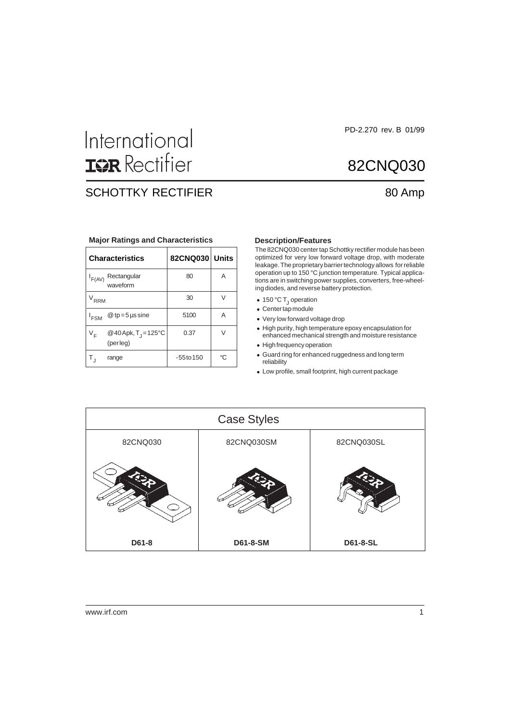# International **ISR** Rectifier

# SCHOTTKY RECTIFIER 80 Amp

#### **Major Ratings and Characteristics Description/Features**

|                  | <b>Characteristics</b>                   | 82CNQ030 Units |    |
|------------------|------------------------------------------|----------------|----|
| F(AV)            | Rectangular<br>waveform                  | 80             | Α  |
| <b>RRM</b>       |                                          | 30             |    |
| <sup>I</sup> FSM | $@tp=5$ µs sine                          | 5100           | Α  |
| VF               | @40Apk, $T_1 = 125^{\circ}C$<br>(perleg) | 0.37           | V  |
| Τ,               | range                                    | $-55$ to $150$ | °C |

The 82CNQ030 center tap Schottky rectifier module has been optimized for very low forward voltage drop, with moderate leakage. The proprietary barrier technology allows for reliable operation up to 150 °C junction temperature. Typical applications are in switching power supplies, converters, free-wheeling diodes, and reverse battery protection.

- 150 °C  $T_1$  operation
- Center tap module
- Very low forward voltage drop
- High purity, high temperature epoxy encapsulation for enhanced mechanical strength and moisture resistance
- High frequency operation
- Guard ring for enhanced ruggedness and long term reliability
- Low profile, small footprint, high current package



PD-2.270 rev. B 01/99

82CNQ030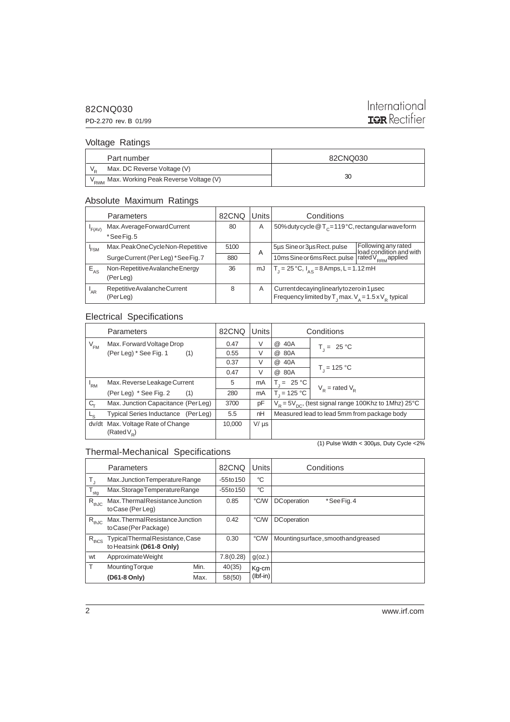#### 82CNQ030

# International **IQR** Rectifier

### Voltage Ratings

PD-2.270 rev. B 01/99

| Part number                                            | 82CNQ030 |  |
|--------------------------------------------------------|----------|--|
| Max. DC Reverse Voltage (V)                            |          |  |
| V <sub>RWM</sub> Max. Working Peak Reverse Voltage (V) | 30       |  |

#### Absolute Maximum Ratings

| Parameters                                | 82CNQ     |    | Conditions                                                                                                                               |                                                                                  |  |
|-------------------------------------------|-----------|----|------------------------------------------------------------------------------------------------------------------------------------------|----------------------------------------------------------------------------------|--|
| Max.AverageForwardCurrent                 | 80        | A  | 50% duty cycle $@T_c=119°C$ , rectangular wave form                                                                                      |                                                                                  |  |
| *See Fig. 5                               |           |    |                                                                                                                                          |                                                                                  |  |
| Max.PeakOneCycleNon-Repetitive            | 5100      |    | 5µs Sine or 3µs Rect. pulse                                                                                                              | Following any rated<br>load condition and with<br>rated V <sub>RRM</sub> applied |  |
| Surge Current (Per Leg) *See Fig. 7       | 880       |    | 10ms Sine or 6ms Rect. pulse                                                                                                             |                                                                                  |  |
| Non-Repetitive Avalanche Energy           | 36        | mJ | $T_1 = 25 \degree C$ , $I_{\Delta S} = 8$ Amps, L = 1.12 mH                                                                              |                                                                                  |  |
|                                           |           |    |                                                                                                                                          |                                                                                  |  |
| Repetitive Avalanche Current<br>(Per Leg) | 8         | A  | Current decaying linearly to zero in 1 used<br>Frequency limited by $T_{\text{J}}$ max. $V_{\text{A}} = 1.5 \times V_{\text{R}}$ typical |                                                                                  |  |
|                                           | (Per Leg) |    | A                                                                                                                                        | Units                                                                            |  |

#### Electrical Specifications

| Parameters                                        |                                     | 82CNQ  | <b>Units</b> |                                                           | Conditions                      |  |
|---------------------------------------------------|-------------------------------------|--------|--------------|-----------------------------------------------------------|---------------------------------|--|
| $V_{FM}$                                          | Max. Forward Voltage Drop           | 0.47   | V            | 40A<br>@                                                  | $T_1 = 25 °C$                   |  |
|                                                   | (Per Leg) * See Fig. 1<br>(1)       | 0.55   | V            | @ 80A                                                     |                                 |  |
|                                                   |                                     | 0.37   | V            | @ 40A                                                     |                                 |  |
|                                                   |                                     | 0.47   | V            | @ 80A                                                     | $T_1 = 125 °C$                  |  |
| <sup>I</sup> RM                                   | Max. Reverse Leakage Current        | 5      | mA           | $T_i = 25 °C$                                             |                                 |  |
|                                                   | (Per Leg) * See Fig. 2<br>(1)       | 280    | mA           | $T_{1} = 125 °C$                                          | $V_{\rm p}$ = rated $V_{\rm p}$ |  |
| C <sub>τ</sub>                                    | Max. Junction Capacitance (Per Leg) |        | pF           | $V_R = 5V_{DC}$ , (test signal range 100Khz to 1Mhz) 25°C |                                 |  |
| L <sub>S</sub>                                    | Typical Series Inductance (Per Leg) | 5.5    | nH           | Measured lead to lead 5mm from package body               |                                 |  |
| dv/dt                                             | Max. Voltage Rate of Change         | 10.000 | $V/\mu s$    |                                                           |                                 |  |
|                                                   | (Rated $V_p$ )                      |        |              |                                                           |                                 |  |
| (1) Pulse Width < $300\mu s$ , Duty Cycle < $2\%$ |                                     |        |              |                                                           |                                 |  |

### Thermal-Mechanical Specifications

| Parameters       |                                                           | 82CNQ | <b>Units</b> | Conditions |                                     |
|------------------|-----------------------------------------------------------|-------|--------------|------------|-------------------------------------|
| T,               | Max.JunctionTemperatureRange                              |       | $-55$ to 150 | °C         |                                     |
| $T_{\text{stg}}$ | Max.StorageTemperatureRange                               |       | $-55$ to 150 | °C         |                                     |
| $R_{thJC}$       | Max. Thermal Resistance Junction<br>to Case (Per Leg)     |       | 0.85         | °C/W       | <b>DC</b> operation<br>*See Fig. 4  |
| $R_{thJC}$       | Max. Thermal Resistance Junction<br>to Case (Per Package) |       | 0.42         | °C/W       | <b>DC</b> operation                 |
| $R_{thCS}$       | TypicalThermalResistance,Case<br>to Heatsink (D61-8 Only) |       | 0.30         | °C/W       | Mountingsurface, smooth and greased |
| wt               | ApproximateWeight                                         |       | 7.8(0.28)    | g(oz.)     |                                     |
| T                | <b>Mounting Torque</b>                                    | Min.  | 40(35)       | Kg-cm      |                                     |
|                  | (D61-8 Only)                                              | Max.  | 58(50)       | $(lbf-in)$ |                                     |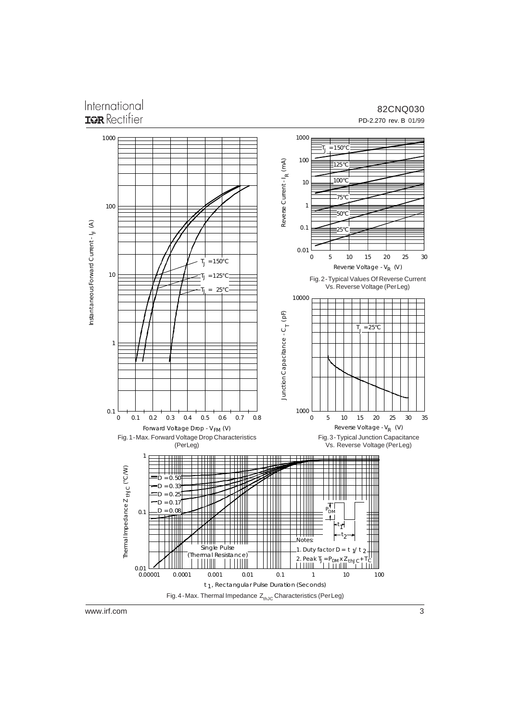# International TOR Rectifier

#### 82CNQ030 PD-2.270 rev. B 01/99



www.irf.com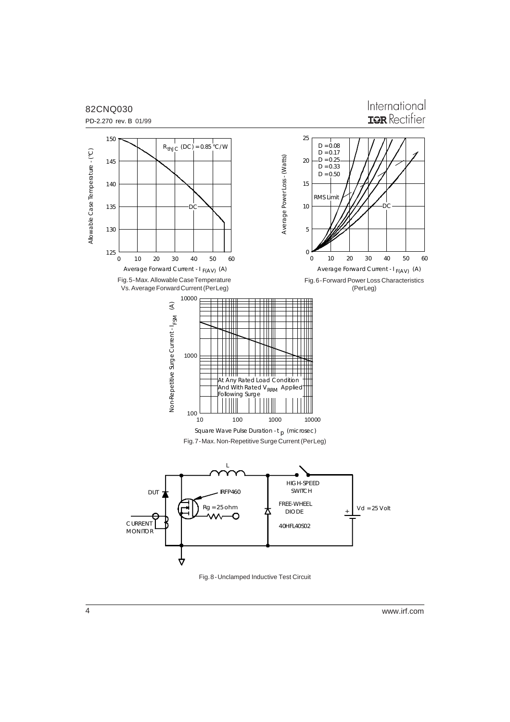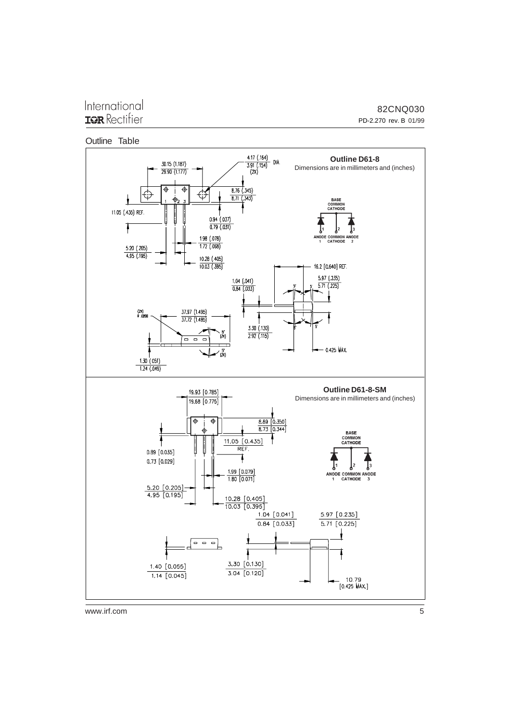## International **IGR** Rectifier

82CNQ030 PD-2.270 rev. B 01/99





www.irf.com